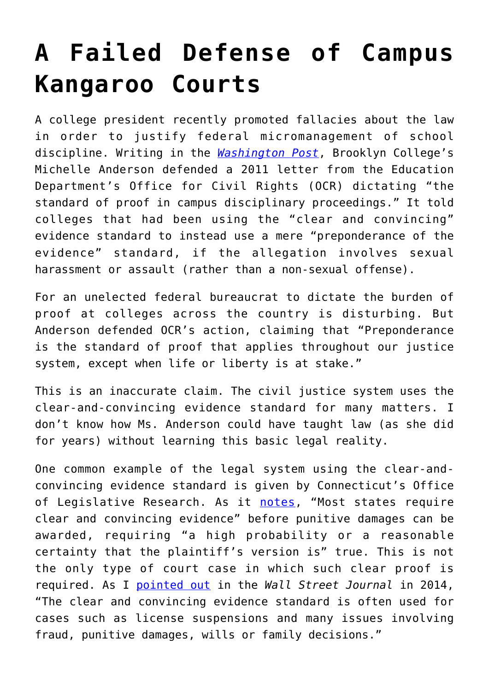## **[A Failed Defense of Campus](https://intellectualtakeout.org/2017/07/a-failed-defense-of-campus-kangaroo-courts/) [Kangaroo Courts](https://intellectualtakeout.org/2017/07/a-failed-defense-of-campus-kangaroo-courts/)**

A college president recently promoted fallacies about the law in order to justify federal micromanagement of school discipline. Writing in the *[Washington Post](https://www.washingtonpost.com/amphtml/news/posteverything/wp/2017/07/13/im-a-college-president-devos-shouldnt-stop-me-from-dealing-with-sexual-assault/)*, Brooklyn College's Michelle Anderson defended a 2011 letter from the Education Department's Office for Civil Rights (OCR) dictating "the standard of proof in campus disciplinary proceedings." It told colleges that had been using the "clear and convincing" evidence standard to instead use a mere "preponderance of the evidence" standard, if the allegation involves sexual harassment or assault (rather than a non-sexual offense).

For an unelected federal bureaucrat to dictate the burden of proof at colleges across the country is disturbing. But Anderson defended OCR's action, claiming that "Preponderance is the standard of proof that applies throughout our justice system, except when life or liberty is at stake."

This is an inaccurate claim. The civil justice system uses the clear-and-convincing evidence standard for many matters. I don't know how Ms. Anderson could have taught law (as she did for years) without learning this basic legal reality.

One common example of the legal system using the clear-andconvincing evidence standard is given by Connecticut's Office of Legislative Research. As it [notes,](https://www.cga.ct.gov/2003/olrdata/ins/rpt/2003-R-0743.htm) "Most states require clear and convincing evidence" before punitive damages can be awarded, requiring "a high probability or a reasonable certainty that the plaintiff's version is" true. This is not the only type of court case in which such clear proof is required. As I [pointed out](https://cei.org/content/colleges-and-evidence-standards) in the *Wall Street Journal* in 2014, "The clear and convincing evidence standard is often used for cases such as license suspensions and many issues involving fraud, punitive damages, wills or family decisions."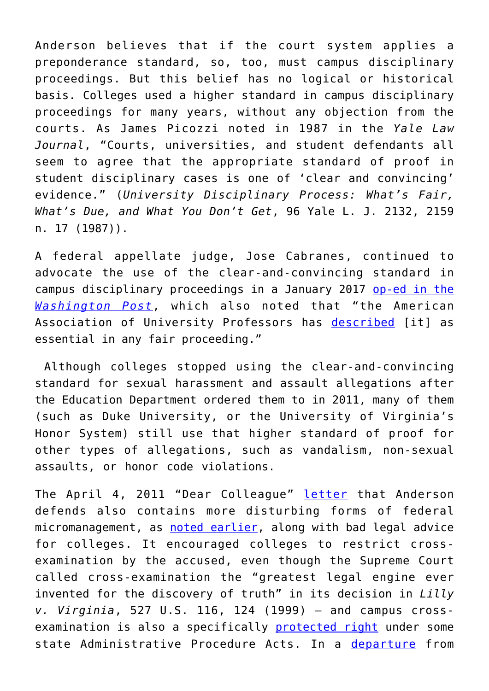Anderson believes that if the court system applies a preponderance standard, so, too, must campus disciplinary proceedings. But this belief has no logical or historical basis. Colleges used a higher standard in campus disciplinary proceedings for many years, without any objection from the courts. As James Picozzi noted in 1987 in the *Yale Law Journal*, "Courts, universities, and student defendants all seem to agree that the appropriate standard of proof in student disciplinary cases is one of 'clear and convincing' evidence." (*University Disciplinary Process: What's Fair, What's Due, and What You Don't Get*, 96 Yale L. J. 2132, 2159 n. 17 (1987)).

A federal appellate judge, Jose Cabranes, continued to advocate the use of the clear-and-convincing standard in campus disciplinary proceedings in a January 2017 [op-ed in the](https://www.washingtonpost.com/opinions/if-colleges-keep-killing-academic-freedom-civilization-will-die-too/2017/01/10/74b6fcc2-d2c3-11e6-9cb0-54ab630851e8_story.html?utm_term=.05a3c869426d) *[Washington Post](https://www.washingtonpost.com/opinions/if-colleges-keep-killing-academic-freedom-civilization-will-die-too/2017/01/10/74b6fcc2-d2c3-11e6-9cb0-54ab630851e8_story.html?utm_term=.05a3c869426d)*, which also noted that "the American Association of University Professors has [described](https://www.aaup.org/file/RIR%202014.pdf) [it] as essential in any fair proceeding."

 Although colleges stopped using the clear-and-convincing standard for sexual harassment and assault allegations after the Education Department ordered them to in 2011, many of them (such as Duke University, or the University of Virginia's Honor System) still use that higher standard of proof for other types of allegations, such as vandalism, non-sexual assaults, or honor code violations.

The April 4, 2011 "Dear Colleague" [letter](http://collegeinsurrection.com/2012/09/education-dept-unlawfully-changes-burden-of-proof-in-college-sexual-harassment-cases/) that Anderson defends also contains more disturbing forms of federal micromanagement, as [noted earlier,](http://www.cnsnews.com/commentary/hans-bader/time-end-obama-era-fed-micromanagement-colleges-under-title-ix) along with bad legal advice for colleges. It encouraged colleges to restrict crossexamination by the accused, even though the Supreme Court called cross-examination the "greatest legal engine ever invented for the discovery of truth" in its decision in *Lilly v. Virginia*, 527 U.S. 116, 124 (1999) – and campus crossexamination is also a specifically [protected right](http://law.justia.com/cases/oregon/court-of-appeals/2016/a152675.html) under some state Administrative Procedure Acts. In a [departure](http://www.cnsnews.com/commentary/hans-bader/time-end-obama-era-fed-micromanagement-colleges-under-title-ix) from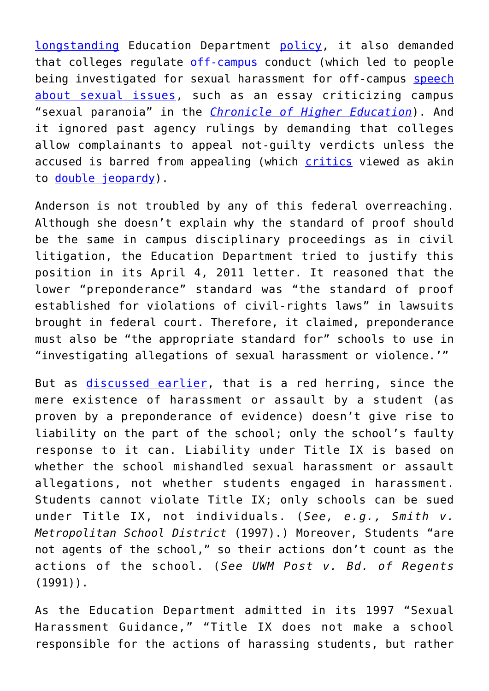[longstanding](https://www.washingtonpost.com/news/volokh-conspiracy/wp/2017/01/31/the-path-to-obamas-dear-colleague-letter/?utm_term=.872e4744b081) Education Department [policy](https://www.ncherm.org/documents/114-OklahomaStateUniversity--06032054.pdf), it also demanded that colleges regulate [off-campus](http://www.cnsnews.com/commentary/hans-bader/time-end-obama-era-fed-micromanagement-colleges-under-title-ix) conduct (which led to people being investigated for sexual harassment for off-campus [speech](http://www.cnsnews.com/commentary/hans-bader/obama-admin-pressures-colleges-adopt-unconstitutional-speech-codes) [about sexual issues](http://www.cnsnews.com/commentary/hans-bader/obama-admin-pressures-colleges-adopt-unconstitutional-speech-codes), such as an essay criticizing campus "sexual paranoia" in the *[Chronicle of Higher Education](http://www.chronicle.com/article/Sexual-Paranoia-Strikes/190351/)*). And it ignored past agency rulings by demanding that colleges allow complainants to appeal not-guilty verdicts unless the accused is barred from appealing (which [critics](https://www.washingtonpost.com/news/volokh-conspiracy/wp/2017/01/31/the-path-to-obamas-dear-colleague-letter/?utm_term=.872e4744b081) viewed as akin to [double jeopardy\)](https://www.thefire.org/why-the-office-for-civil-rights-april-dear-colleague-letter-was-2011s-biggest-fire-fight/).

Anderson is not troubled by any of this federal overreaching. Although she doesn't explain why the standard of proof should be the same in campus disciplinary proceedings as in civil litigation, the Education Department tried to justify this position in its April 4, 2011 letter. It reasoned that the lower "preponderance" standard was "the standard of proof established for violations of civil-rights laws" in lawsuits brought in federal court. Therefore, it claimed, preponderance must also be "the appropriate standard for" schools to use in "investigating allegations of sexual harassment or violence.'"

But as [discussed earlier,](http://collegeinsurrection.com/2012/09/education-dept-unlawfully-changes-burden-of-proof-in-college-sexual-harassment-cases/) that is a red herring, since the mere existence of harassment or assault by a student (as proven by a preponderance of evidence) doesn't give rise to liability on the part of the school; only the school's faulty response to it can. Liability under Title IX is based on whether the school mishandled sexual harassment or assault allegations, not whether students engaged in harassment. Students cannot violate Title IX; only schools can be sued under Title IX, not individuals. (*See, e.g., Smith v. Metropolitan School District* (1997).) Moreover, Students "are not agents of the school," so their actions don't count as the actions of the school. (*See UWM Post v. Bd. of Regents*  $(1991)$ .

As the Education Department admitted in its 1997 "Sexual Harassment Guidance," "Title IX does not make a school responsible for the actions of harassing students, but rather